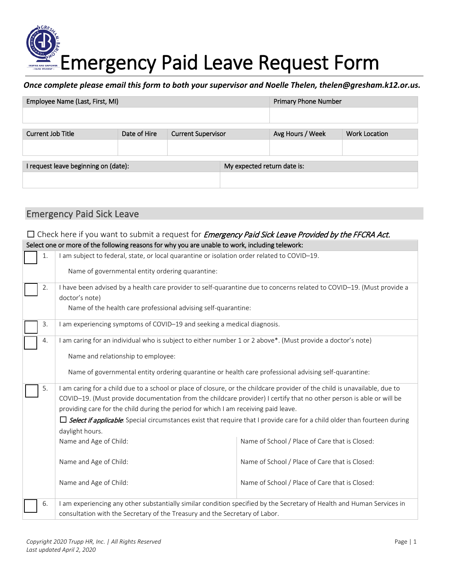# Emergency Paid Leave Request Form

### *Once complete please email this form to both your supervisor and Noelle Thelen, thelen@gresham.k12.or.us.*

| Employee Name (Last, First, MI)      |              | <b>Primary Phone Number</b> |                             |                  |                      |  |  |
|--------------------------------------|--------------|-----------------------------|-----------------------------|------------------|----------------------|--|--|
|                                      |              |                             |                             |                  |                      |  |  |
|                                      |              |                             |                             |                  |                      |  |  |
| Current Job Title                    | Date of Hire | <b>Current Supervisor</b>   |                             | Avg Hours / Week | <b>Work Location</b> |  |  |
|                                      |              |                             |                             |                  |                      |  |  |
|                                      |              |                             |                             |                  |                      |  |  |
| I request leave beginning on (date): |              |                             | My expected return date is: |                  |                      |  |  |
|                                      |              |                             |                             |                  |                      |  |  |
|                                      |              |                             |                             |                  |                      |  |  |

# Emergency Paid Sick Leave

# $\Box$  Check here if you want to submit a request for *Emergency Paid Sick Leave Provided by the FFCRA Act.* Select one or more of the following reasons for why you are unable to work, including telework: ☐ 1. I am subject to federal, state, or local quarantine or isolation order related to COVID–19. Name of governmental entity ordering quarantine: ☐ 2. I have been advised by a health care provider to self-quarantine due to concerns related to COVID–19. (Must provide a doctor's note) Name of the health care professional advising self-quarantine: 3. I am experiencing symptoms of COVID–19 and seeking a medical diagnosis. 4. I am caring for an individual who is subject to either number 1 or 2 above\*. (Must provide a doctor's note) Name and relationship to employee: Name of governmental entity ordering quarantine or health care professional advising self-quarantine: 5. I am caring for a child due to a school or place of closure, or the childcare provider of the child is unavailable, due to COVID–19. (Must provide documentation from the childcare provider) I certify that no other person is able or will be providing care for the child during the period for which I am receiving paid leave.  $\Box$  Select if applicable: Special circumstances exist that require that I provide care for a child older than fourteen during daylight hours. Name and Age of Child: Name of School / Place of Care that is Closed: Name and Age of Child: Name of School / Place of Care that is Closed: Name and Age of Child: Name of School / Place of Care that is Closed: 6. I am experiencing any other substantially similar condition specified by the Secretary of Health and Human Services in consultation with the Secretary of the Treasury and the Secretary of Labor.